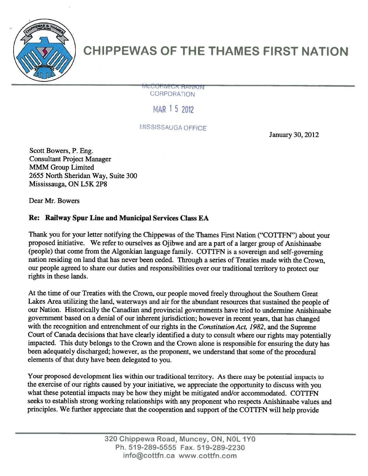

## CHIPPEWAS OF THE THAMES FIRST NATION

**CONMICK HANKIN** CORPORATION

MAR 15 2012

MISSISSAUGA OFFICE

January 30, 2012

Scott Bowers, P. Eng. Consultant Project Manager MMM Group Limited 2655 North Sheridan Way, Suite 300 Mississauga, ON L5K 2P8

Dear Mr. Bowers

## Re: Railway Spur Line and Municipal Services Class EA

Thank you for your letter notifying the Chippewas of the Thames First Nation ("COTTFN") about your propose<sup>d</sup> initiative. We refer to ourselves as Ojibwe and are <sup>a</sup> par<sup>t</sup> of <sup>a</sup> larger group of Anishinaabe (people) that come from the Algonkian language family. COTTFN is <sup>a</sup> sovereign and self-governing nation residing on land that has never been ceded. Through <sup>a</sup> series of Treaties made with the Crown, our people agree<sup>d</sup> to share our duties and responsibilities over our traditional territory to protect our rights in these lands.

At the time of our Treaties with the Crown, our people moved freely throughout the Southern Great Lakes Area utilizing the land, waterways and air for the abundant resources that sustained the people of our Nation. Historically the Canadian and provincial governments have tried to undermine Anishinaabe governmen<sup>t</sup> based on <sup>a</sup> denial of our inherent jurisdiction; however in recent years, that has changed with the recognition and entrenchment of our rights in the Constitution Act, 1982, and the Supreme Court of Canada decisions that have clearly identified <sup>a</sup> duty to consult where our rights may potentially impacted. This duty belongs to the Crown and the Crown alone is responsible for ensuring the duty has been adequately discharged; however, as the proponent, we understand that some of the procedural elements of that duty have been delegated to you.

Your propose<sup>d</sup> development lies within our traditional territory. As there may be potential impacts to the exercise of our rights caused by your initiative, we appreciate the opportunity to discuss with you what these potential impacts may be how they might be mitigated and/or accommodated. COTTFN seeks to establish strong working relationships with any proponen<sup>t</sup> who respects Anishinaabe values and principles. We further appreciate that the cooperation and suppor<sup>t</sup> of the COTTFN will help provide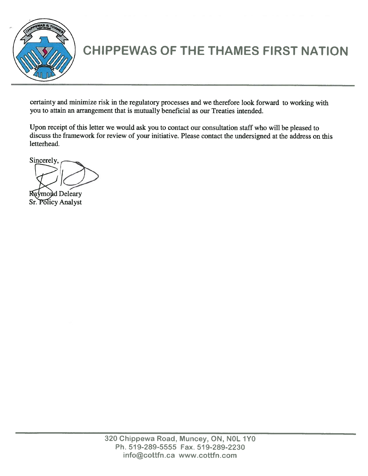

## CHIPPEWAS OF THE THAMES FIRST NATION

certainty and minimize risk in the regulatory processes and we therefore look forward to working with you to attain an arrangemen<sup>t</sup> that is mutually beneficial as our Treaties intended.

Upon receipt of this letter we would ask you to contact our consultation staff who will be <sup>p</sup>leased to discuss the framework for review of your initiative. Please contact the undersigned at the address on this letterhead.

Sincerely,

Raymond Deleary Sr. Policy Analyst